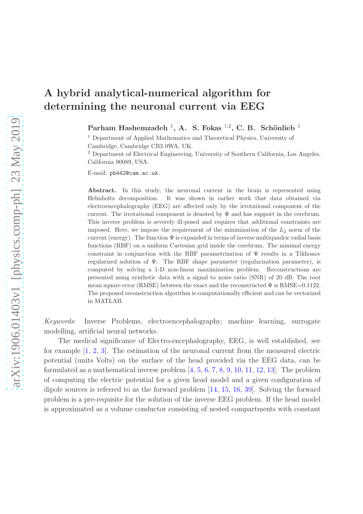Parham Hashemzadeh<sup>1</sup>, A. S. Fokas<sup>1,2</sup>, C. B. Schönlieb<sup>1</sup>

<sup>1</sup> Department of Applied Mathematics and Theoretical Physics, University of Cambridge, Cambridge CB3 0WA, UK.

<sup>2</sup> Department of Electrical Engineering, University of Southern California, Los Angeles, California 90089, USA.

E-mail: ph442@cam.ac.uk.

Abstract. In this study, the neuronal current in the brain is represented using Helmholtz decomposition. It was shown in earlier work that data obtained via electroencephalography (EEG) are affected only by the irrotational component of the current. The irrotational component is denoted by  $\Psi$  and has support in the cerebrum. This inverse problem is severely ill-posed and requires that additional constraints are imposed. Here, we impose the requirement of the minimization of the  $L_2$  norm of the current (energy). The function  $\Psi$  is expanded in terms of inverse multiquadric radial basis functions (RBF) on a uniform Cartesian grid inside the cerebrum. The minimal energy constraint in conjunction with the RBF parametrization of  $\Psi$  results in a Tikhonov regularized solution of Ψ. The RBF shape parameter (regularization parameter), is computed by solving a 1-D non-linear maximization problem. Reconstructions are presented using synthetic data with a signal to noise ratio (SNR) of 20 dB. The root mean square error (RMSE) between the exact and the reconstructed  $\Psi$  is RMSE=0.1122. The proposed reconstruction algorithm is computationally efficient and can be vectorized in MATLAB.

Keywords: Inverse Problems, electroencephalography, machine learning, surrogate modelling, artificial neural networks.

The medical significance of Electro-encephalography, EEG, is well established, see for example [\[1,](#page-20-0) [2,](#page-20-1) [3\]](#page-20-2). The estimation of the neuronal current from the measured electric potential (units Volts) on the surface of the head provided via the EEG data, can be formulated as a mathematical inverse problem [\[4,](#page-20-3) [5,](#page-20-4) [6,](#page-20-5) [7,](#page-20-6) [8,](#page-20-7) [9,](#page-20-8) [10,](#page-20-9) [11,](#page-20-10) [12,](#page-20-11) [13\]](#page-20-12). The problem of computing the electric potential for a given head model and a given configuration of dipole sources is referred to as the forward problem [\[14,](#page-20-13) [15,](#page-20-14) [16,](#page-20-15) [39\]](#page-21-0). Solving the forward problem is a pre-requisite for the solution of the inverse EEG problem. If the head model is approximated as a volume conductor consisting of nested compartments with constant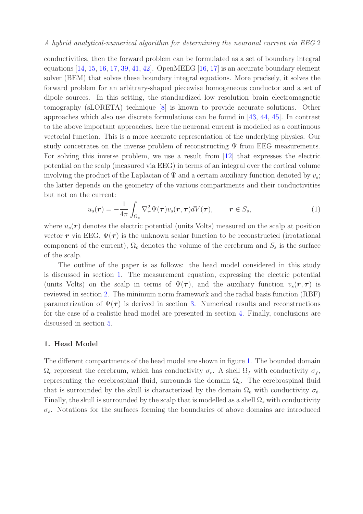conductivities, then the forward problem can be formulated as a set of boundary integral equations  $[14, 15, 16, 17, 39, 41, 42]$  $[14, 15, 16, 17, 39, 41, 42]$  $[14, 15, 16, 17, 39, 41, 42]$  $[14, 15, 16, 17, 39, 41, 42]$  $[14, 15, 16, 17, 39, 41, 42]$  $[14, 15, 16, 17, 39, 41, 42]$  $[14, 15, 16, 17, 39, 41, 42]$  $[14, 15, 16, 17, 39, 41, 42]$  $[14, 15, 16, 17, 39, 41, 42]$  $[14, 15, 16, 17, 39, 41, 42]$  $[14, 15, 16, 17, 39, 41, 42]$  $[14, 15, 16, 17, 39, 41, 42]$ . OpenMEEG  $[16, 17]$  $[16, 17]$  is an accurate boundary element solver (BEM) that solves these boundary integral equations. More precisely, it solves the forward problem for an arbitrary-shaped piecewise homogeneous conductor and a set of dipole sources. In this setting, the standardized low resolution brain electromagnetic tomography (sLORETA) technique [\[8\]](#page-20-7) is known to provide accurate solutions. Other approaches which also use discrete formulations can be found in [\[43,](#page-22-2) [44,](#page-22-3) [45\]](#page-22-4). In contrast to the above important approaches, here the neuronal current is modelled as a continuous vectorial function. This is a more accurate representation of the underlying physics. Our study concetrates on the inverse problem of reconstructing  $\Psi$  from EEG measurements. For solving this inverse problem, we use a result from [\[12\]](#page-20-11) that expresses the electric potential on the scalp (measured via EEG) in terms of an integral over the cortical volume involving the product of the Laplacian of  $\Psi$  and a certain auxiliary function denoted by  $v_s$ ; the latter depends on the geometry of the various compartments and their conductivities but not on the current:

$$
u_s(\mathbf{r}) = -\frac{1}{4\pi} \int_{\Omega_c} \nabla^2_{\boldsymbol{\tau}} \Psi(\boldsymbol{\tau}) v_s(\mathbf{r}, \boldsymbol{\tau}) dV(\boldsymbol{\tau}), \qquad \mathbf{r} \in S_s,
$$
 (1)

where  $u_s(\mathbf{r})$  denotes the electric potential (units Volts) measured on the scalp at position vector r via EEG,  $\Psi(\tau)$  is the unknown scalar function to be reconstructed (irrotational component of the current),  $\Omega_c$  denotes the volume of the cerebrum and  $S_s$  is the surface of the scalp.

The outline of the paper is as follows: the head model considered in this study is discussed in section [1.](#page-1-0) The measurement equation, expressing the electric potential (units Volts) on the scalp in terms of  $\Psi(\tau)$ , and the auxiliary function  $v_s(\tau, \tau)$  is reviewed in section [2.](#page-3-0) The minimum norm framework and the radial basis function (RBF) parametrization of  $\Psi(\tau)$  is derived in section [3.](#page-8-0) Numerical results and reconstructions for the case of a realistic head model are presented in section [4.](#page-12-0) Finally, conclusions are discussed in section [5.](#page-19-0)

# <span id="page-1-0"></span>1. Head Model

The different compartments of the head model are shown in figure [1.](#page-2-0) The bounded domain  $\Omega_c$  represent the cerebrum, which has conductivity  $\sigma_c$ . A shell  $\Omega_f$  with conductivity  $\sigma_f$ , representing the cerebrospinal fluid, surrounds the domain  $\Omega_c$ . The cerebrospinal fluid that is surrounded by the skull is characterized by the domain  $\Omega_b$  with conductivity  $\sigma_b$ . Finally, the skull is surrounded by the scalp that is modelled as a shell  $\Omega_s$  with conductivity  $\sigma_s$ . Notations for the surfaces forming the boundaries of above domains are introduced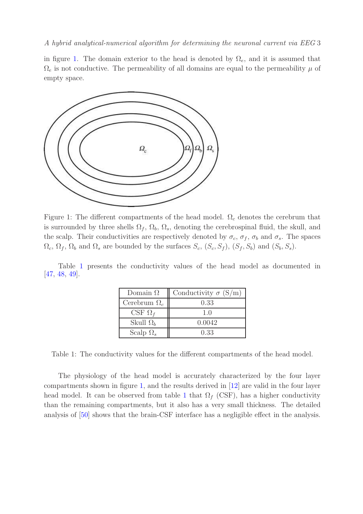in figure [1.](#page-2-0) The domain exterior to the head is denoted by  $\Omega_e$ , and it is assumed that  $\Omega_e$  is not conductive. The permeability of all domains are equal to the permeability  $\mu$  of empty space.

<span id="page-2-0"></span>

Figure 1: The different compartments of the head model.  $\Omega_c$  denotes the cerebrum that is surrounded by three shells  $\Omega_f$ ,  $\Omega_b$ ,  $\Omega_s$ , denoting the cerebrospinal fluid, the skull, and the scalp. Their conductivities are respectively denoted by  $\sigma_c$ ,  $\sigma_f$ ,  $\sigma_b$  and  $\sigma_s$ . The spaces  $\Omega_c$ ,  $\Omega_f$ ,  $\Omega_b$  and  $\Omega_s$  are bounded by the surfaces  $S_c$ ,  $(S_c, S_f)$ ,  $(S_f, S_b)$  and  $(S_b, S_s)$ .

<span id="page-2-1"></span>Table [1](#page-2-1) presents the conductivity values of the head model as documented in [\[47,](#page-22-5) [48,](#page-22-6) [49\]](#page-22-7).

| Domain $\Omega$     | Conductivity $\sigma$ (S/m) |
|---------------------|-----------------------------|
| Cerebrum $\Omega_c$ | 0.33                        |
| CSF $\Omega_f$      | 1.0                         |
| Skull $\Omega_b$    | 0.0042                      |
| Scalp $\Omega_s$    | 0.33                        |

Table 1: The conductivity values for the different compartments of the head model.

The physiology of the head model is accurately characterized by the four layer compartments shown in figure [1,](#page-2-0) and the results derived in [\[12\]](#page-20-11) are valid in the four layer head model. It can be observed from table [1](#page-2-1) that  $\Omega_f$  (CSF), has a higher conductivity than the remaining compartments, but it also has a very small thickness. The detailed analysis of [\[50\]](#page-22-8) shows that the brain-CSF interface has a negligible effect in the analysis.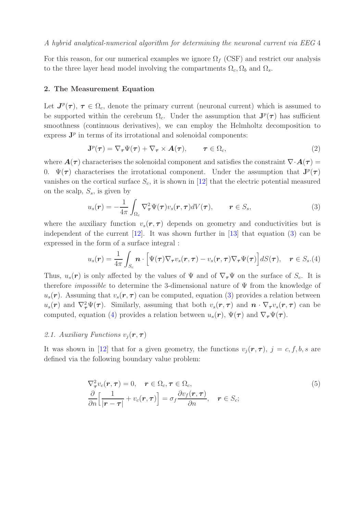For this reason, for our numerical examples we ignore  $\Omega_f$  (CSF) and restrict our analysis to the three layer head model involving the compartments  $\Omega_c, \Omega_b$  and  $\Omega_s$ .

#### <span id="page-3-0"></span>2. The Measurement Equation

Let  $J^p(\tau)$ ,  $\tau \in \Omega_c$ , denote the primary current (neuronal current) which is assumed to be supported within the cerebrum  $\Omega_c$ . Under the assumption that  $J^p(\tau)$  has sufficient smoothness (continuous derivatives), we can employ the Helmholtz decomposition to express  $J<sup>p</sup>$  in terms of its irrotational and solenoidal components:

<span id="page-3-4"></span>
$$
\mathbf{J}^{p}(\tau) = \nabla_{\tau} \Psi(\tau) + \nabla_{\tau} \times \mathbf{A}(\tau), \qquad \tau \in \Omega_c,
$$
\n(2)

where  $\mathbf{A}(\tau)$  characterises the solenoidal component and satisfies the constraint  $\nabla \cdot \mathbf{A}(\tau) =$ 0.  $\Psi(\tau)$  characterises the irrotational component. Under the assumption that  $J^p(\tau)$ vanishes on the cortical surface  $S_c$ , it is shown in [\[12\]](#page-20-11) that the electric potential measured on the scalp,  $S_s$ , is given by

<span id="page-3-1"></span>
$$
u_s(\mathbf{r}) = -\frac{1}{4\pi} \int_{\Omega_c} \nabla^2_{\boldsymbol{\tau}} \Psi(\boldsymbol{\tau}) v_s(\mathbf{r}, \boldsymbol{\tau}) dV(\boldsymbol{\tau}), \qquad \mathbf{r} \in S_s,
$$
 (3)

where the auxiliary function  $v_s(\mathbf{r}, \tau)$  depends on geometry and conductivities but is independent of the current [\[12\]](#page-20-11). It was shown further in [\[13\]](#page-20-12) that equation [\(3\)](#page-3-1) can be expressed in the form of a surface integral :

<span id="page-3-2"></span>
$$
u_s(\boldsymbol{r}) = \frac{1}{4\pi} \int_{S_c} \boldsymbol{n} \cdot \Big[ \Psi(\boldsymbol{\tau}) \nabla_{\boldsymbol{\tau}} v_s(\boldsymbol{r}, \boldsymbol{\tau}) - v_s(\boldsymbol{r}, \boldsymbol{\tau}) \nabla_{\boldsymbol{\tau}} \Psi(\boldsymbol{\tau}) \Big] dS(\boldsymbol{\tau}), \quad \boldsymbol{r} \in S_s.(4)
$$

Thus,  $u_s(\mathbf{r})$  is only affected by the values of  $\Psi$  and of  $\nabla_{\tau}\Psi$  on the surface of  $S_c$ . It is therefore *impossible* to determine the 3-dimensional nature of  $\Psi$  from the knowledge of  $u_s(\mathbf{r})$ . Assuming that  $v_s(\mathbf{r}, \tau)$  can be computed, equation [\(3\)](#page-3-1) provides a relation between  $u_s(\bm{r})$  and  $\nabla^2_{\bm{\tau}} \Psi(\bm{\tau})$ . Similarly, assuming that both  $v_s(\bm{r}, \bm{\tau})$  and  $\bm{n} \cdot \nabla_{\bm{\tau}} v_s(\bm{r}, \bm{\tau})$  can be computed, equation [\(4\)](#page-3-2) provides a relation between  $u_s(\mathbf{r})$ ,  $\Psi(\boldsymbol{\tau})$  and  $\nabla_{\boldsymbol{\tau}} \Psi(\boldsymbol{\tau})$ .

# 2.1. Auxiliary Functions  $v_i(\mathbf{r}, \boldsymbol{\tau})$

It was shown in [\[12\]](#page-20-11) that for a given geometry, the functions  $v_j(\mathbf{r}, \tau)$ ,  $j = c, f, b, s$  are defined via the following boundary value problem:

<span id="page-3-3"></span>
$$
\nabla_{\tau}^{2} v_{c}(\mathbf{r}, \tau) = 0, \quad \mathbf{r} \in \Omega_{c}, \tau \in \Omega_{c},
$$
\n
$$
\frac{\partial}{\partial n} \Big[ \frac{1}{|\mathbf{r} - \tau|} + v_{c}(\mathbf{r}, \tau) \Big] = \sigma_{f} \frac{\partial v_{f}(\mathbf{r}, \tau)}{\partial n}, \quad \mathbf{r} \in S_{c};
$$
\n(5)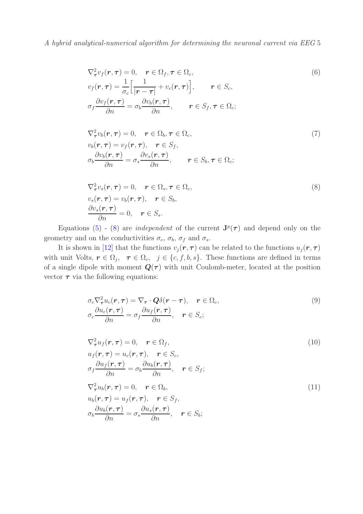$$
\nabla_{\tau}^{2} v_{f}(\mathbf{r}, \tau) = 0, \quad \mathbf{r} \in \Omega_{f}, \tau \in \Omega_{c},
$$
\n
$$
v_{f}(\mathbf{r}, \tau) = \frac{1}{\sigma_{c}} \Big[ \frac{1}{|\mathbf{r} - \tau|} + v_{c}(\mathbf{r}, \tau) \Big], \qquad \mathbf{r} \in S_{c},
$$
\n
$$
\sigma_{f} \frac{\partial v_{f}(\mathbf{r}, \tau)}{\partial n} = \sigma_{b} \frac{\partial v_{b}(\mathbf{r}, \tau)}{\partial n}, \qquad \mathbf{r} \in S_{f}, \tau \in \Omega_{c};
$$
\n(6)

$$
\nabla_{\tau}^{2} v_{b}(\mathbf{r}, \tau) = 0, \quad \mathbf{r} \in \Omega_{b}, \tau \in \Omega_{c},
$$
\n
$$
v_{b}(\mathbf{r}, \tau) = v_{f}(\mathbf{r}, \tau), \quad \mathbf{r} \in S_{f},
$$
\n
$$
\sigma_{b} \frac{\partial v_{b}(\mathbf{r}, \tau)}{\partial n} = \sigma_{s} \frac{\partial v_{s}(\mathbf{r}, \tau)}{\partial n}, \qquad \mathbf{r} \in S_{b}, \tau \in \Omega_{c};
$$
\n(7)

<span id="page-4-0"></span>
$$
\nabla_{\tau}^{2} v_{s}(\mathbf{r}, \tau) = 0, \quad \mathbf{r} \in \Omega_{s}, \tau \in \Omega_{c},
$$
  
\n
$$
v_{s}(\mathbf{r}, \tau) = v_{b}(\mathbf{r}, \tau), \quad \mathbf{r} \in S_{b},
$$
  
\n
$$
\frac{\partial v_{s}(\mathbf{r}, \tau)}{\partial n} = 0, \quad \mathbf{r} \in S_{s}.
$$
\n(8)

Equations [\(5\)](#page-3-3) - [\(8\)](#page-4-0) are *independent* of the current  $J^p(\tau)$  and depend only on the geometry and on the conductivities  $\sigma_c$ ,  $\sigma_b$ ,  $\sigma_f$  and  $\sigma_s$ .

It is shown in [\[12\]](#page-20-11) that the functions  $v_j(r, \tau)$  can be related to the functions  $u_j(r, \tau)$ with unit Volts,  $r \in \Omega_j$ ,  $\tau \in \Omega_c$ ,  $j \in \{c, f, b, s\}$ . These functions are defined in terms of a single dipole with moment  $Q(\tau)$  with unit Coulomb-meter, located at the position vector  $\tau$  via the following equations:

<span id="page-4-1"></span>
$$
\sigma_c \nabla_{\tau}^2 u_c(\mathbf{r}, \tau) = \nabla_{\tau} \cdot \mathbf{Q} \delta(\mathbf{r} - \tau), \quad \mathbf{r} \in \Omega_c, \n\sigma_c \frac{\partial u_c(\mathbf{r}, \tau)}{\partial n} = \sigma_f \frac{\partial u_f(\mathbf{r}, \tau)}{\partial n}, \quad \mathbf{r} \in S_c;
$$
\n(9)

$$
\nabla_{\tau}^{2} u_{f}(\mathbf{r}, \tau) = 0, \quad \mathbf{r} \in \Omega_{f},
$$
\n
$$
u_{f}(\mathbf{r}, \tau) = u_{c}(\mathbf{r}, \tau), \quad \mathbf{r} \in S_{c},
$$
\n
$$
\sigma_{f} \frac{\partial u_{f}(\mathbf{r}, \tau)}{\partial n} = \sigma_{b} \frac{\partial u_{b}(\mathbf{r}, \tau)}{\partial n}, \quad \mathbf{r} \in S_{f};
$$
\n
$$
\nabla_{\tau}^{2} u_{b}(\mathbf{r}, \tau) = 0, \quad \mathbf{r} \in \Omega_{b},
$$
\n
$$
u_{b}(\mathbf{r}, \tau) = u_{f}(\mathbf{r}, \tau), \quad \mathbf{r} \in S_{f},
$$
\n
$$
\frac{\partial u_{b}(\mathbf{r}, \tau)}{\partial n} = \sigma_{s} \frac{\partial u_{s}(\mathbf{r}, \tau)}{\partial n}, \quad \mathbf{r} \in S_{b};
$$
\n(11)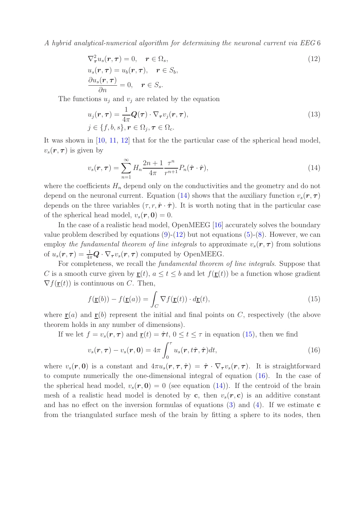<span id="page-5-1"></span>
$$
\nabla^2_{\tau} u_s(\boldsymbol{r}, \boldsymbol{\tau}) = 0, \quad \boldsymbol{r} \in \Omega_s,
$$
\n(12)

$$
u_s(\mathbf{r}, \boldsymbol{\tau}) = u_b(\mathbf{r}, \boldsymbol{\tau}), \quad \mathbf{r} \in S_b, \frac{\partial u_s(\mathbf{r}, \boldsymbol{\tau})}{\partial n} = 0, \quad \mathbf{r} \in S_s.
$$

The functions  $u_j$  and  $v_j$  are related by the equation

$$
u_j(\mathbf{r}, \boldsymbol{\tau}) = \frac{1}{4\pi} \mathbf{Q}(\boldsymbol{\tau}) \cdot \nabla_{\boldsymbol{\tau}} v_j(\mathbf{r}, \boldsymbol{\tau}),
$$
  
\n
$$
j \in \{f, b, s\}, \mathbf{r} \in \Omega_j, \boldsymbol{\tau} \in \Omega_c.
$$
\n(13)

It was shown in [\[10,](#page-20-9) [11,](#page-20-10) [12\]](#page-20-11) that for the the particular case of the spherical head model,  $v_s(\mathbf{r}, \boldsymbol{\tau})$  is given by

<span id="page-5-0"></span>
$$
v_s(\mathbf{r}, \boldsymbol{\tau}) = \sum_{n=1}^{\infty} H_n \frac{2n+1}{4\pi} \frac{\tau^n}{r^{n+1}} P_n(\hat{\boldsymbol{\tau}} \cdot \hat{\boldsymbol{r}}), \tag{14}
$$

where the coefficients  $H_n$  depend only on the conductivities and the geometry and do not depend on the neuronal current. Equation [\(14\)](#page-5-0) shows that the auxiliary function  $v_s(\mathbf{r}, \tau)$ depends on the three variables  $(\tau, r, \hat{\mathbf{r}} \cdot \hat{\boldsymbol{\tau}})$ . It is worth noting that in the particular case of the spherical head model,  $v_s(\mathbf{r}, \mathbf{0}) = 0$ .

In the case of a realistic head model, OpenMEEG [\[16\]](#page-20-15) accurately solves the boundary value problem described by equations  $(9)-(12)$  $(9)-(12)$  but not equations  $(5)-(8)$  $(5)-(8)$ . However, we can employ the fundamental theorem of line integrals to approximate  $v_s(\mathbf{r}, \tau)$  from solutions of  $u_s(\mathbf{r}, \boldsymbol{\tau}) = \frac{1}{4\pi} \mathbf{Q} \cdot \nabla_{\boldsymbol{\tau}} v_s(\mathbf{r}, \boldsymbol{\tau})$  computed by OpenMEEG.

For completeness, we recall the fundamental theorem of line integrals. Suppose that C is a smooth curve given by  $\underline{\mathbf{r}}(t)$ ,  $a \le t \le b$  and let  $f(\underline{\mathbf{r}}(t))$  be a function whose gradient  $\nabla f(\mathbf{r}(t))$  is continuous on C. Then,

<span id="page-5-2"></span>
$$
f(\underline{\mathbf{r}}(b)) - f(\underline{\mathbf{r}}(a)) = \int_C \nabla f(\underline{\mathbf{r}}(t)) \cdot d\underline{\mathbf{r}}(t),
$$
\n(15)

where  $\underline{\mathbf{r}}(a)$  and  $\underline{\mathbf{r}}(b)$  represent the initial and final points on C, respectively (the above theorem holds in any number of dimensions).

If we let  $f = v_s(\mathbf{r}, \boldsymbol{\tau})$  and  $\underline{\mathbf{r}}(t) = \hat{\boldsymbol{\tau}} t$ ,  $0 \le t \le \tau$  in equation [\(15\)](#page-5-2), then we find

<span id="page-5-3"></span>
$$
v_s(\mathbf{r}, \boldsymbol{\tau}) - v_s(\mathbf{r}, \mathbf{0}) = 4\pi \int_0^{\tau} u_s(\mathbf{r}, t\hat{\boldsymbol{\tau}}, \hat{\boldsymbol{\tau}}) dt,
$$
\n(16)

where  $v_s(\mathbf{r}, \mathbf{0})$  is a constant and  $4\pi u_s(\mathbf{r}, \tau, \hat{\tau}) = \hat{\tau} \cdot \nabla_{\tau} v_s(\mathbf{r}, \tau)$ . It is straightforward to compute numerically the one-dimensional integral of equation [\(16\)](#page-5-3). In the case of the spherical head model,  $v_s(\mathbf{r}, \mathbf{0}) = 0$  (see equation [\(14\)](#page-5-0)). If the centroid of the brain mesh of a realistic head model is denoted by c, then  $v_s(\mathbf{r}, \mathbf{c})$  is an additive constant and has no effect on the inversion formulas of equations [\(3\)](#page-3-1) and [\(4\)](#page-3-2). If we estimate  $\bf{c}$ from the triangulated surface mesh of the brain by fitting a sphere to its nodes, then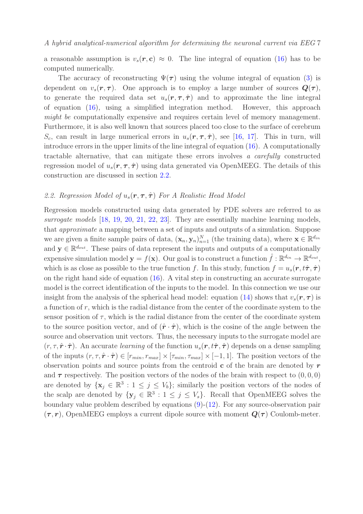a reasonable assumption is  $v_s(\mathbf{r}, \mathbf{c}) \approx 0$ . The line integral of equation [\(16\)](#page-5-3) has to be computed numerically.

The accuracy of reconstructing  $\Psi(\tau)$  using the volume integral of equation [\(3\)](#page-3-1) is dependent on  $v_s(\mathbf{r}, \tau)$ . One approach is to employ a large number of sources  $\mathbf{Q}(\tau)$ , to generate the required data set  $u_s(\mathbf{r}, \tau, \hat{\tau})$  and to approximate the line integral of equation [\(16\)](#page-5-3), using a simplified integration method. However, this approach might be computationally expensive and requires certain level of memory management. Furthermore, it is also well known that sources placed too close to the surface of cerebrum  $S_c$ , can result in large numerical errors in  $u_s(\mathbf{r}, \tau, \hat{\tau})$ , see [\[16,](#page-20-15) [17\]](#page-20-16). This in turn, will introduce errors in the upper limits of the line integral of equation [\(16\)](#page-5-3). A computationally tractable alternative, that can mitigate these errors involves a carefully constructed regression model of  $u_s(\mathbf{r}, \tau, \hat{\boldsymbol{\tau}})$  using data generated via OpenMEEG. The details of this construction are discussed in section [2.2.](#page-6-0)

# <span id="page-6-0"></span>2.2. Regression Model of  $u_s(\mathbf{r}, \boldsymbol{\tau}, \hat{\boldsymbol{\tau}})$  For A Realistic Head Model

Regression models constructed using data generated by PDE solvers are referred to as surrogate models [\[18,](#page-20-17) [19,](#page-20-18) [20,](#page-20-19) [21,](#page-21-1) [22,](#page-21-2) [23\]](#page-21-3). They are essentially machine learning models, that approximate a mapping between a set of inputs and outputs of a simulation. Suppose we are given a finite sample pairs of data,  $(\mathbf{x}_n, \mathbf{y}_n)_{n=1}^N$  (the training data), where  $\mathbf{x} \in \mathbb{R}^{d_{in}}$ and  $y \in \mathbb{R}^{d_{out}}$ . These pairs of data represent the inputs and outputs of a computationally expensive simulation model  $\mathbf{y} = f(\mathbf{x})$ . Our goal is to construct a function  $\hat{f} : \mathbb{R}^{d_{in}} \to \mathbb{R}^{d_{out}},$ which is as close as possible to the true function f. In this study, function  $f = u_s(\mathbf{r}, t\hat{\boldsymbol{\tau}}, \hat{\boldsymbol{\tau}})$ on the right hand side of equation  $(16)$ . A vital step in constructing an accurate surrogate model is the correct identification of the inputs to the model. In this connection we use our insight from the analysis of the spherical head model: equation [\(14\)](#page-5-0) shows that  $v_s(\mathbf{r}, \tau)$  is a function of r, which is the radial distance from the center of the coordinate system to the sensor position of  $\tau$ , which is the radial distance from the center of the coordinate system to the source position vector, and of  $(\hat{r} \cdot \hat{\tau})$ , which is the cosine of the angle between the source and observation unit vectors. Thus, the necessary inputs to the surrogate model are  $(r, \tau, \hat{\mathbf{r}} \cdot \hat{\boldsymbol{\tau}})$ . An accurate learning of the function  $u_s(\mathbf{r}, t\hat{\boldsymbol{\tau}}, \hat{\boldsymbol{\tau}})$  depends on a dense sampling of the inputs  $(r, \tau, \hat{\mathbf{r}} \cdot \hat{\boldsymbol{\tau}}) \in [r_{min}, r_{max}] \times [\tau_{min}, \tau_{max}] \times [-1, 1]$ . The position vectors of the observation points and source points from the centroid  $\bf{c}$  of the brain are denoted by  $\bf{r}$ and  $\tau$  respectively. The position vectors of the nodes of the brain with respect to  $(0,0,0)$ are denoted by  $\{x_j \in \mathbb{R}^3 : 1 \le j \le V_b\}$ ; similarly the position vectors of the nodes of the scalp are denoted by  $\{y_j \in \mathbb{R}^3 : 1 \le j \le V_s\}$ . Recall that OpenMEEG solves the boundary value problem described by equations [\(9\)](#page-4-1)-[\(12\)](#page-5-1). For any source-observation pair  $(\tau, r)$ , OpenMEEG employs a current dipole source with moment  $Q(\tau)$  Coulomb-meter.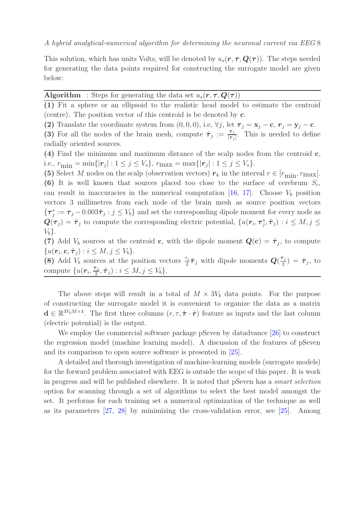This solution, which has units Volts, will be denoted by  $u_s(\mathbf{r}, \tau, \mathbf{Q}(\tau))$ . The steps needed for generating the data points required for constructing the surrogate model are given below:

Algorithm : Steps for generating the data set  $u_s(\mathbf{r}, \tau, \mathbf{Q}(\tau))$ 

(1) Fit a sphere or an ellipsoid to the realistic head model to estimate the centroid (centre). The position vector of this centroid is be denoted by c.

(2) Translate the coordinate system from  $(0, 0, 0)$ , i.e,  $\forall j$ , let  $\tau_j = \mathbf{x}_j - \mathbf{c}$ ,  $\mathbf{r}_j = \mathbf{y}_j - \mathbf{c}$ .

(3) For all the nodes of the brain mesh, compute  $\hat{\tau}_j := \frac{\tau_j}{|\tau_j|}$  $\frac{\tau_j}{|\tau_j|}$ . This is needed to define radially oriented sources.

(4) Find the minimum and maximum distance of the scalp nodes from the centroid c, i.e.,  $r_{\min} = \min\{|\mathbf{r}_j| : 1 \le j \le V_s\}$ ,  $r_{\max} = \max\{|\mathbf{r}_j| : 1 \le j \le V_s\}$ .

(5) Select M nodes on the scalp (observation vectors)  $r_k$  in the interval  $r \in [r_{\min}, r_{\max}]$ . (6) It is well known that sources placed too close to the surface of cerebrum  $S_c$ , can result in inaccuracies in the numerical computation [\[16,](#page-20-15) [17\]](#page-20-16). Choose  $V<sub>b</sub>$  position vectors 3 millimetres from each node of the brain mesh as source position vectors  $\{\boldsymbol{\tau}_j^s:=\boldsymbol{\tau}_j-0.003\hat{\boldsymbol{\tau}}_j: j\le V_b\}$  and set the corresponding dipole moment for every node as  $\bm{Q}(\bm{\tau}_j) = \hat{\bm{\tau}}_j$  to compute the corresponding electric potential,  $\{u(\bm{r}_i, \bm{\tau}_j^s, \hat{\bm{\tau}}_j) : i \leq M, j \leq n\}$  $V_b$ .

(7) Add  $V_b$  sources at the centroid c, with the dipole moment  $Q(c) = \hat{\tau}_j$ , to compute  $\{u(\boldsymbol{r}_i,\mathbf{c},\hat{\boldsymbol{\tau}}_j): i\leq M, j\leq V_b\}.$ 

(8) Add  $V_b$  sources at the position vectors  $\frac{\tau_j}{2}\hat{\tau}_j$  with dipole moments  $Q(\frac{\tau_j}{2})$  $(\frac{\mathsf{r}_j}{2}) = \hat{\boldsymbol{\tau}}_j, \; \text{to}$ compute  $\{u(\mathbf{r}_i, \frac{\boldsymbol{\tau}_j}{2})\}$  $\left(\frac{\tau_j}{2},\hat{\tau}_j\right)$ :  $i\leq M, j\leq V_b$ .

The above steps will result in a total of  $M \times 3V_b$  data points. For the purpose of constructing the surrogate model it is convenient to organize the data as a matrix  $\mathbf{d} \in \mathbb{R}^{3V_b M \times 4}$ . The first three columns  $(r, \tau, \hat{\tau} \cdot \hat{r})$  feature as inputs and the last column (electric potential) is the output.

We employ the commercial software package pSeven by datadvance [\[26\]](#page-21-4) to construct the regression model (machine learning model). A discussion of the features of pSeven and its comparison to open source software is presented in [\[25\]](#page-21-5).

A detailed and thorough investigation of machine-learning models (surrogate models) for the forward problem associated with EEG is outside the scope of this paper. It is work in progress and will be published elsewhere. It is noted that pSeven has a smart selection option for scanning through a set of algorithms to select the best model amongst the set. It performs for each training set a numerical optimization of the technique as well as its parameters [\[27,](#page-21-6) [28\]](#page-21-7) by minimizing the cross-validation error, see [\[25\]](#page-21-5). Among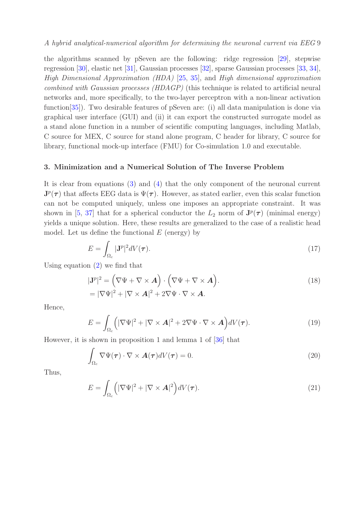the algorithms scanned by pSeven are the following: ridge regression [\[29\]](#page-21-8), stepwise regression [\[30\]](#page-21-9), elastic net [\[31\]](#page-21-10), Gaussian processes [\[32\]](#page-21-11), sparse Gaussian processes [\[33,](#page-21-12) [34\]](#page-21-13), High Dimensional Approximation (HDA) [\[25,](#page-21-5) [35\]](#page-21-14), and High dimensional approximation combined with Gaussian processes (HDAGP) (this technique is related to artificial neural networks and, more specifically, to the two-layer perceptron with a non-linear activation function[\[35\]](#page-21-14)). Two desirable features of pSeven are: (i) all data manipulation is done via graphical user interface (GUI) and (ii) it can export the constructed surrogate model as a stand alone function in a number of scientific computing languages, including Matlab, C source for MEX, C source for stand alone program, C header for library, C source for library, functional mock-up interface (FMU) for Co-simulation 1.0 and executable.

#### <span id="page-8-0"></span>3. Minimization and a Numerical Solution of The Inverse Problem

It is clear from equations [\(3\)](#page-3-1) and [\(4\)](#page-3-2) that the only component of the neuronal current  $J^p(\tau)$  that affects EEG data is  $\Psi(\tau)$ . However, as stated earlier, even this scalar function can not be computed uniquely, unless one imposes an appropriate constraint. It was shown in [\[5,](#page-20-4) [37\]](#page-21-15) that for a spherical conductor the  $L_2$  norm of  $\mathbf{J}^p(\tau)$  (minimal energy) yields a unique solution. Here, these results are generalized to the case of a realistic head model. Let us define the functional  $E$  (energy) by

$$
E = \int_{\Omega_c} |\mathbf{J}^p|^2 dV(\boldsymbol{\tau}).\tag{17}
$$

Using equation  $(2)$  we find that

$$
|\mathbf{J}^p|^2 = (\nabla \Psi + \nabla \times \mathbf{A}) \cdot (\nabla \Psi + \nabla \times \mathbf{A}).
$$
  
=  $|\nabla \Psi|^2 + |\nabla \times \mathbf{A}|^2 + 2\nabla \Psi \cdot \nabla \times \mathbf{A}.$  (18)

Hence,

$$
E = \int_{\Omega_c} \left( |\nabla \Psi|^2 + |\nabla \times \mathbf{A}|^2 + 2\nabla \Psi \cdot \nabla \times \mathbf{A} \right) dV(\tau).
$$
 (19)

However, it is shown in proposition 1 and lemma 1 of [\[36\]](#page-21-16) that

$$
\int_{\Omega_c} \nabla \Psi(\tau) \cdot \nabla \times \mathbf{A}(\tau) dV(\tau) = 0.
$$
\n(20)

Thus,

<span id="page-8-1"></span>
$$
E = \int_{\Omega_c} \left( |\nabla \Psi|^2 + |\nabla \times \mathbf{A}|^2 \right) dV(\tau). \tag{21}
$$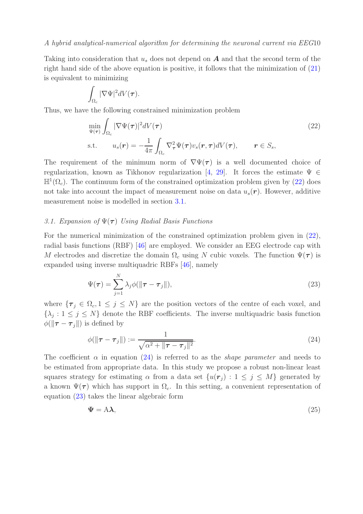Taking into consideration that  $u_s$  does not depend on  $\boldsymbol{A}$  and that the second term of the right hand side of the above equation is positive, it follows that the minimization of [\(21\)](#page-8-1) is equivalent to minimizing

$$
\int_{\Omega_c} |\nabla \Psi|^2 dV(\tau).
$$

Thus, we have the following constrained minimization problem

<span id="page-9-0"></span>
$$
\min_{\Psi(\tau)} \int_{\Omega_c} |\nabla \Psi(\tau)|^2 dV(\tau) \tag{22}
$$
\n
$$
\text{s.t.} \qquad u_s(\mathbf{r}) = -\frac{1}{4\pi} \int_{\Omega_c} \nabla^2_\tau \Psi(\tau) v_s(\mathbf{r}, \tau) dV(\tau), \qquad \mathbf{r} \in S_s,
$$

The requirement of the minimum norm of  $\nabla \Psi(\tau)$  is a well documented choice of regularization, known as Tikhonov regularization [\[4,](#page-20-3) [29\]](#page-21-8). It forces the estimate  $\Psi \in$  $\mathbb{H}^1(\Omega_c)$ . The continuum form of the constrained optimization problem given by [\(22\)](#page-9-0) does not take into account the impact of measurement noise on data  $u_s(\mathbf{r})$ . However, additive measurement noise is modelled in section [3.1.](#page-9-1)

#### <span id="page-9-1"></span>3.1. Expansion of  $\Psi(\tau)$  Using Radial Basis Functions

For the numerical minimization of the constrained optimization problem given in [\(22\)](#page-9-0), radial basis functions (RBF) [\[46\]](#page-22-9) are employed. We consider an EEG electrode cap with M electrodes and discretize the domain  $\Omega_c$  using N cubic voxels. The function  $\Psi(\tau)$  is expanded using inverse multiquadric RBFs [\[46\]](#page-22-9), namely

<span id="page-9-3"></span>
$$
\Psi(\tau) = \sum_{j=1}^{N} \lambda_j \phi(||\tau - \tau_j||), \qquad (23)
$$

where  $\{\tau_i \in \Omega_c, 1 \leq j \leq N\}$  are the position vectors of the centre of each voxel, and  $\{\lambda_j : 1 \le j \le N\}$  denote the RBF coefficients. The inverse multiquadric basis function  $\phi(||\boldsymbol{\tau} - \boldsymbol{\tau}_i||)$  is defined by

<span id="page-9-2"></span>
$$
\phi(\Vert \boldsymbol{\tau} - \boldsymbol{\tau}_j \Vert) := \frac{1}{\sqrt{\alpha^2 + \Vert \boldsymbol{\tau} - \boldsymbol{\tau}_j \Vert^2}}.
$$
\n(24)

The coefficient  $\alpha$  in equation [\(24\)](#page-9-2) is referred to as the *shape parameter* and needs to be estimated from appropriate data. In this study we propose a robust non-linear least squares strategy for estimating  $\alpha$  from a data set  $\{u(\mathbf{r}_i) : 1 \leq j \leq M\}$  generated by a known  $\Psi(\tau)$  which has support in  $\Omega_c$ . In this setting, a convenient representation of equation [\(23\)](#page-9-3) takes the linear algebraic form

$$
\Psi = A\lambda,\tag{25}
$$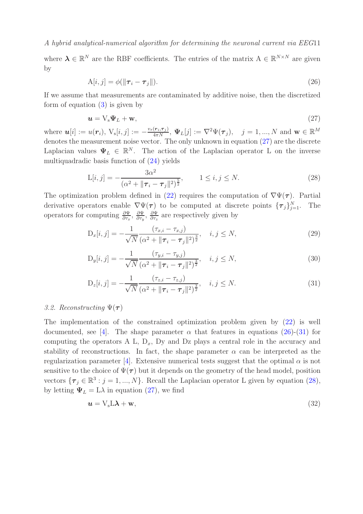where  $\boldsymbol{\lambda} \in \mathbb{R}^N$  are the RBF coefficients. The entries of the matrix  $A \in \mathbb{R}^{N \times N}$  are given by

<span id="page-10-1"></span>
$$
A[i,j] = \phi(||\boldsymbol{\tau}_i - \boldsymbol{\tau}_j||). \tag{26}
$$

If we assume that measurements are contaminated by additive noise, then the discretized form of equation  $(3)$  is given by

<span id="page-10-0"></span>
$$
\mathbf{u} = \mathbf{V}_s \Psi_L + \mathbf{w},\tag{27}
$$

where  $u[i] := u(r_i)$ ,  $V_s[i, j] := -\frac{v_s(r_i, \tau_j)}{4\pi N}$ ,  $\Psi_L[j] := \nabla^2 \Psi(\tau_j)$ ,  $j = 1, ..., N$  and  $w \in \mathbb{R}^M$ denotes the measurement noise vector. The only unknown in equation [\(27\)](#page-10-0) are the discrete Laplacian values  $\Psi_L \in \mathbb{R}^N$ . The action of the Laplacian operator L on the inverse multiquadradic basis function of [\(24\)](#page-9-2) yields

<span id="page-10-3"></span>
$$
L[i,j] = -\frac{3\alpha^2}{(\alpha^2 + \|\boldsymbol{\tau}_i - \boldsymbol{\tau}_j\|^2)^{\frac{5}{2}}}, \qquad 1 \le i, j \le N.
$$
 (28)

The optimization problem defined in [\(22\)](#page-9-0) requires the computation of  $\nabla \Psi(\tau)$ . Partial derivative operators enable  $\nabla \Psi(\tau)$  to be computed at discrete points  $\{\tau_j\}_{j=1}^N$ . The operators for computing  $\frac{\partial \Psi}{\partial \tau_x}$ ,  $\frac{\partial \Psi}{\partial \tau_y}$  $\frac{\partial \Psi}{\partial \tau_y}, \; \frac{\partial \Psi}{\partial \tau_z}$  $\frac{\partial \Psi}{\partial \tau_z}$  are respectively given by

$$
D_x[i,j] = -\frac{1}{\sqrt{N}} \frac{(\tau_{x,i} - \tau_{x,j})}{(\alpha^2 + ||\tau_i - \tau_j||^2)^{\frac{3}{2}}}, \quad i, j \le N,
$$
\n(29)

$$
D_y[i,j] = -\frac{1}{\sqrt{N}} \frac{(\tau_{y,i} - \tau_{y,j})}{(\alpha^2 + ||\boldsymbol{\tau}_i - \boldsymbol{\tau}_j||^2)^{\frac{3}{2}}}, \quad i, j \le N,
$$
\n(30)

<span id="page-10-2"></span>
$$
D_z[i,j] = -\frac{1}{\sqrt{N}} \frac{(\tau_{z,i} - \tau_{z,j})}{(\alpha^2 + ||\tau_i - \tau_j||^2)^{\frac{3}{2}}}, \quad i, j \le N.
$$
\n(31)

## 3.2. Reconstructing  $\Psi(\tau)$

The implementation of the constrained optimization problem given by [\(22\)](#page-9-0) is well documented, see [\[4\]](#page-20-3). The shape parameter  $\alpha$  that features in equations [\(26\)](#page-10-1)-[\(31\)](#page-10-2) for computing the operators A L,  $D_x$ , Dy and Dz plays a central role in the accuracy and stability of reconstructions. In fact, the shape parameter  $\alpha$  can be interpreted as the regularization parameter [\[4\]](#page-20-3). Extensive numerical tests suggest that the optimal  $\alpha$  is not sensitive to the choice of  $\Psi(\tau)$  but it depends on the geometry of the head model, position vectors  $\{\boldsymbol{\tau}_j \in \mathbb{R}^3 : j = 1, ..., N\}$ . Recall the Laplacian operator L given by equation [\(28\)](#page-10-3), by letting  $\Psi_L = L\lambda$  in equation [\(27\)](#page-10-0), we find

<span id="page-10-4"></span>
$$
\mathbf{u} = \mathbf{V}_{\mathrm{s}} \mathbf{L} \boldsymbol{\lambda} + \mathbf{w},\tag{32}
$$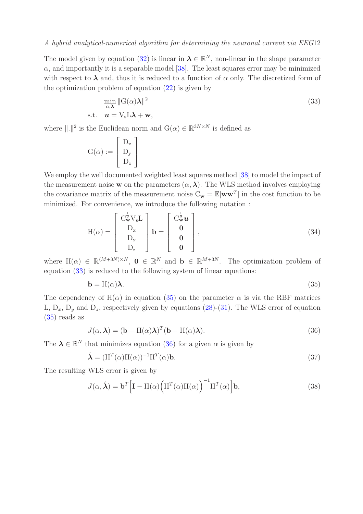The model given by equation [\(32\)](#page-10-4) is linear in  $\lambda \in \mathbb{R}^N$ , non-linear in the shape parameter  $\alpha$ , and importantly it is a separable model [\[38\]](#page-21-17). The least squares error may be minimized with respect to  $\lambda$  and, thus it is reduced to a function of  $\alpha$  only. The discretized form of the optimization problem of equation  $(22)$  is given by

<span id="page-11-0"></span>
$$
\min_{\alpha,\lambda} \|G(\alpha)\lambda\|^2
$$
  
s.t.  $\mathbf{u} = V_s L \lambda + \mathbf{w},$  (33)

where  $\|.\|^2$  is the Euclidean norm and  $\mathcal{G}(\alpha) \in \mathbb{R}^{3N \times N}$  is defined as

$$
G(\alpha) := \begin{bmatrix} D_x \\ D_y \\ D_z \end{bmatrix}
$$

We employ the well documented weighted least squares method [\[38\]](#page-21-17) to model the impact of the measurement noise **w** on the parameters  $(\alpha, \lambda)$ . The WLS method involves employing the covariance matrix of the measurement noise  $C_w = \mathbb{E}[ww^T]$  in the cost function to be minimized. For convenience, we introduce the following notation :

$$
H(\alpha) = \begin{bmatrix} C_{\mathbf{w}}^{\frac{1}{2}} V_{s} L \\ D_{x} \\ D_{y} \\ D_{z} \end{bmatrix} \mathbf{b} = \begin{bmatrix} C_{\mathbf{w}}^{\frac{1}{2}} \mathbf{u} \\ \mathbf{0} \\ \mathbf{0} \\ \mathbf{0} \end{bmatrix},
$$
(34)

where  $H(\alpha) \in \mathbb{R}^{(M+3N)\times N}$ ,  $0 \in \mathbb{R}^{N}$  and  $b \in \mathbb{R}^{M+3N}$ . The optimization problem of equation [\(33\)](#page-11-0) is reduced to the following system of linear equations:

<span id="page-11-1"></span>
$$
\mathbf{b} = \mathbf{H}(\alpha)\boldsymbol{\lambda}.\tag{35}
$$

The dependency of  $H(\alpha)$  in equation [\(35\)](#page-11-1) on the parameter  $\alpha$  is via the RBF matrices L,  $D_x$ ,  $D_y$  and  $D_z$ , respectively given by equations [\(28\)](#page-10-3)-[\(31\)](#page-10-2). The WLS error of equation [\(35\)](#page-11-1) reads as

<span id="page-11-2"></span>
$$
J(\alpha, \lambda) = (\mathbf{b} - \mathbf{H}(\alpha)\lambda)^{T}(\mathbf{b} - \mathbf{H}(\alpha)\lambda).
$$
 (36)

The  $\lambda \in \mathbb{R}^N$  that minimizes equation [\(36\)](#page-11-2) for a given  $\alpha$  is given by

$$
\hat{\lambda} = (H^T(\alpha)H(\alpha))^{-1}H^T(\alpha)b.
$$
\n(37)

The resulting WLS error is given by

$$
J(\alpha, \hat{\boldsymbol{\lambda}}) = \mathbf{b}^T \Big[ \mathbf{I} - \mathbf{H}(\alpha) \Big( \mathbf{H}^T(\alpha) \mathbf{H}(\alpha) \Big)^{-1} \mathbf{H}^T(\alpha) \Big] \mathbf{b},\tag{38}
$$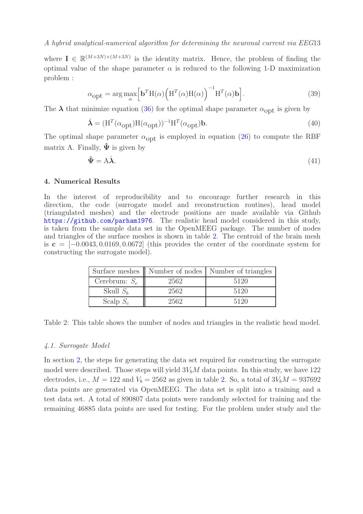where  $I \in \mathbb{R}^{(M+3N)\times(M+3N)}$  is the identity matrix. Hence, the problem of finding the optimal value of the shape parameter  $\alpha$  is reduced to the following 1-D maximization problem :

<span id="page-12-2"></span>
$$
\alpha_{\text{opt}} = \arg \max_{\alpha} \left[ \mathbf{b}^T \mathbf{H}(\alpha) \left( \mathbf{H}^T(\alpha) \mathbf{H}(\alpha) \right)^{-1} \mathbf{H}^T(\alpha) \mathbf{b} \right]. \tag{39}
$$

The  $\lambda$  that minimize equation [\(36\)](#page-11-2) for the optimal shape parameter  $\alpha_{\text{opt}}$  is given by

$$
\hat{\mathbf{\lambda}} = (\mathbf{H}^T(\alpha_{\text{opt}})\mathbf{H}(\alpha_{\text{opt}}))^{-1}\mathbf{H}^T(\alpha_{\text{opt}})\mathbf{b}.\tag{40}
$$

The optimal shape parameter  $\alpha_{\text{opt}}$  is employed in equation [\(26\)](#page-10-1) to compute the RBF matrix A. Finally,  $\Psi$  is given by

<span id="page-12-3"></span>
$$
\hat{\Psi} = A\hat{\lambda}.\tag{41}
$$

#### <span id="page-12-0"></span>4. Numerical Results

In the interest of reproducibility and to encourage further research in this direction, the code (surrogate model and reconstruction routines), head model (triangulated meshes) and the electrode positions are made available via Github <https://github.com/parham1976>. The realistic head model considered in this study, is taken from the sample data set in the OpenMEEG package. The number of nodes and triangles of the surface meshes is shown in table [2.](#page-12-1) The centroid of the brain mesh is  $c = [-0.0043, 0.0169, 0.0672]$  (this provides the center of the coordinate system for constructing the surrogate model).

<span id="page-12-1"></span>

|                 |      | Surface meshes    Number of nodes   Number of triangles |  |
|-----------------|------|---------------------------------------------------------|--|
| Cerebrum: $S_c$ | 2562 | 5120                                                    |  |
| Skull $S_h$     | 2562 | 5120                                                    |  |
| Scalp $S_c$     | 2562 | 5120                                                    |  |

Table 2: This table shows the number of nodes and triangles in the realistic head model.

#### 4.1. Surrogate Model

In section [2,](#page-3-0) the steps for generating the data set required for constructing the surrogate model were described. Those steps will yield  $3V_bM$  data points. In this study, we have 122 electrodes, i.e.,  $M = 122$  and  $V_b = 2562$  as given in table [2.](#page-12-1) So, a total of  $3V_bM = 937692$ data points are generated via OpenMEEG. The data set is split into a training and a test data set. A total of 890807 data points were randomly selected for training and the remaining 46885 data points are used for testing. For the problem under study and the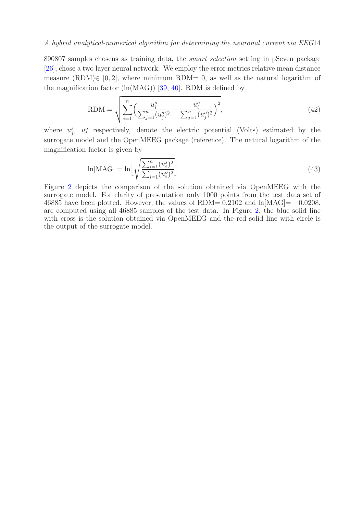890807 samples chosens as training data, the smart selection setting in pSeven package [\[26\]](#page-21-4), chose a two layer neural network. We employ the error metrics relative mean distance measure (RDM) $\in$  [0, 2], where minimum RDM= 0, as well as the natural logarithm of the magnification factor  $(ln(MAG))$  [\[39,](#page-21-0) [40\]](#page-21-18). RDM is defined by

RDM = 
$$
\sqrt{\sum_{i=1}^{n} \left(\frac{u_i^s}{\sum_{j=1}^{n} (u_j^s)^2} - \frac{u_i^o}{\sum_{j=1}^{n} (u_j^o)^2}\right)^2},
$$
 (42)

where  $u_j^s$ ,  $u_i^o$  respectively, denote the electric potential (Volts) estimated by the surrogate model and the OpenMEEG package (reference). The natural logarithm of the magnification factor is given by

$$
\ln[\text{MAG}] = \ln\left[\sqrt{\frac{\sum_{i=1}^{n} (u_i^s)^2}{\sum_{i=1}^{n} (u_i^o)^2}}\right].
$$
\n(43)

Figure [2](#page-14-0) depicts the comparison of the solution obtained via OpenMEEG with the surrogate model. For clarity of presentation only 1000 points from the test data set of 46885 have been plotted. However, the values of RDM=  $0.2102$  and  $\ln[\text{MAG}] = -0.0208$ , are computed using all 46885 samples of the test data. In Figure [2,](#page-14-0) the blue solid line with cross is the solution obtained via OpenMEEG and the red solid line with circle is the output of the surrogate model.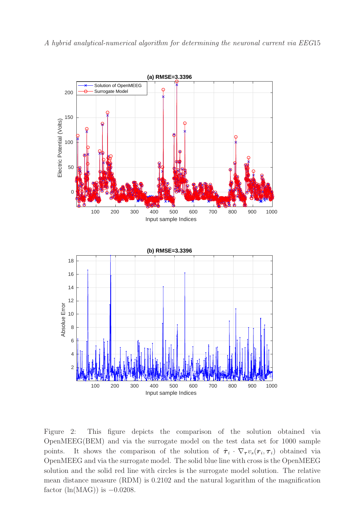<span id="page-14-0"></span>

Figure 2: This figure depicts the comparison of the solution obtained via OpenMEEG(BEM) and via the surrogate model on the test data set for 1000 sample points. It shows the comparison of the solution of  $\hat{\tau}_i \cdot \nabla_{\tau} v_s(r_i, \tau_i)$  obtained via OpenMEEG and via the surrogate model. The solid blue line with cross is the OpenMEEG solution and the solid red line with circles is the surrogate model solution. The relative mean distance measure (RDM) is 0.2102 and the natural logarithm of the magnification factor  $(ln(MAG))$  is  $-0.0208$ .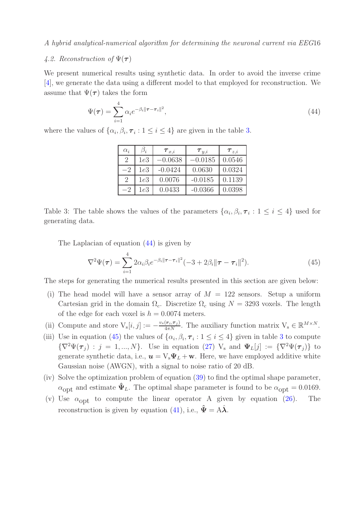# 4.2. Reconstruction of  $\Psi(\tau)$

We present numerical results using synthetic data. In order to avoid the inverse crime [\[4\]](#page-20-3), we generate the data using a different model to that employed for reconstruction. We assume that  $\Psi(\tau)$  takes the form

<span id="page-15-1"></span>
$$
\Psi(\tau) = \sum_{i=1}^{4} \alpha_i e^{-\beta_i \|\tau - \tau_i\|^2},\tag{44}
$$

<span id="page-15-0"></span>where the values of  $\{\alpha_i, \beta_i, \tau_i : 1 \le i \le 4\}$  are given in the table [3.](#page-15-0)

| $\alpha_i$                  | $\mathfrak{I}_i$ | $\bm{\tau}_{x,i}$ | $\bm{\tau}_{y,i}$ | $\bm{\tau}_{z,i}$ |
|-----------------------------|------------------|-------------------|-------------------|-------------------|
| $\mathcal{D}_{\mathcal{L}}$ | 1e3              | $-0.0638$         | $-0.0185$         | 0.0546            |
| -2                          | 1e3              | $-0.0424$         | 0.0630            | 0.0324            |
| $\mathcal{D}_{\mathcal{L}}$ | 1e3              | 0.0076            | $-0.0185$         | 0.1139            |
| -2                          | 1e3              | 0.0433            | $-0.0366$         | 0.0398            |

Table 3: The table shows the values of the parameters  $\{\alpha_i, \beta_i, \tau_i : 1 \leq i \leq 4\}$  used for generating data.

The Laplacian of equation [\(44\)](#page-15-1) is given by

<span id="page-15-2"></span>
$$
\nabla^2 \Psi(\tau) = \sum_{i=1}^4 2\alpha_i \beta_i e^{-\beta_i ||\tau - \tau_i||^2} (-3 + 2\beta_i ||\tau - \tau_i||^2).
$$
 (45)

The steps for generating the numerical results presented in this section are given below:

- (i) The head model will have a sensor array of  $M = 122$  sensors. Setup a uniform Cartesian grid in the domain  $\Omega_c$ . Discretize  $\Omega_c$  using  $N = 3293$  voxels. The length of the edge for each voxel is  $h = 0.0074$  meters.
- (ii) Compute and store  $V_s[i, j] := -\frac{v_s(r_i, \tau_j)}{4\pi N}$ . The auxiliary function matrix  $V_s \in \mathbb{R}^{M \times N}$ .
- (iii) Use in equation [\(45\)](#page-15-2) the values of  $\{\alpha_i, \beta_i, \tau_i : 1 \le i \le 4\}$  given in table [3](#page-15-0) to compute  ${\nabla}^2 \Psi(\tau_i) : j = 1, ..., N$ . Use in equation [\(27\)](#page-10-0)  $V_s$  and  $\Psi_L[j] := {\nabla}^2 \Psi(\tau_j)$  to generate synthetic data, i.e.,  $\mathbf{u} = V_s \Psi_L + \mathbf{w}$ . Here, we have employed additive white Gaussian noise (AWGN), with a signal to noise ratio of 20 dB.
- (iv) Solve the optimization problem of equation [\(39\)](#page-12-2) to find the optimal shape parameter,  $\alpha_{\text{opt}}$  and estimate  $\hat{\Psi}_L$ . The optimal shape parameter is found to be  $\alpha_{\text{opt}} = 0.0169$ .
- (v) Use  $\alpha_{\text{opt}}$  to compute the linear operator A given by equation [\(26\)](#page-10-1). The reconstruction is given by equation [\(41\)](#page-12-3), i.e.,  $\hat{\Psi} = A\hat{\lambda}$ .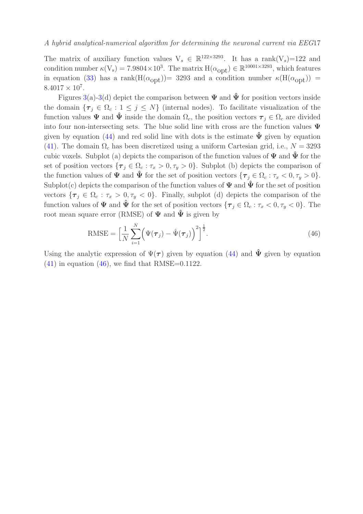The matrix of auxiliary function values  $V_s \in \mathbb{R}^{122 \times 3293}$ . It has a rank $(V_s)$ =122 and condition number  $\kappa(V_s) = 7.9804 \times 10^3$ . The matrix  $H(\alpha_{opt}) \in \mathbb{R}^{10001 \times 3293}$ , which features in equation [\(33\)](#page-11-0) has a rank(H( $\alpha_{\text{opt}}$ )) = 3293 and a condition number  $\kappa(H(\alpha_{\text{opt}}))$  =  $8.4017 \times 10^7$ .

Figures [3\(](#page-17-0)a)[-3\(](#page-17-0)d) depict the comparison between  $\Psi$  and  $\hat{\Psi}$  for position vectors inside the domain  $\{\tau_j \in \Omega_c : 1 \leq j \leq N\}$  (internal nodes). To facilitate visualization of the function values  $\Psi$  and  $\hat{\Psi}$  inside the domain  $\Omega_c$ , the position vectors  $\tau_i \in \Omega_c$  are divided into four non-intersecting sets. The blue solid line with cross are the function values  $\Psi$ given by equation [\(44\)](#page-15-1) and red solid line with dots is the estimate  $\Psi$  given by equation [\(41\)](#page-12-3). The domain  $\Omega_c$  has been discretized using a uniform Cartesian grid, i.e.,  $N = 3293$ cubic voxels. Subplot (a) depicts the comparison of the function values of  $\Psi$  and  $\hat{\Psi}$  for the set of position vectors  $\{\tau_j \in \Omega_c : \tau_x > 0, \tau_y > 0\}$ . Subplot (b) depicts the comparison of the function values of  $\Psi$  and  $\hat{\Psi}$  for the set of position vectors  $\{\tau_j \in \Omega_c : \tau_x < 0, \tau_y > 0\}.$ Subplot(c) depicts the comparison of the function values of  $\Psi$  and  $\hat{\Psi}$  for the set of position vectors  $\{\tau_j \in \Omega_c : \tau_x > 0, \tau_y < 0\}$ . Finally, subplot (d) depicts the comparison of the function values of  $\Psi$  and  $\hat{\Psi}$  for the set of position vectors  $\{\tau_j \in \Omega_c : \tau_x < 0, \tau_y < 0\}$ . The root mean square error (RMSE) of  $\Psi$  and  $\Psi$  is given by

<span id="page-16-0"></span>RMSE = 
$$
\left[\frac{1}{N}\sum_{i=1}^{N}\left(\Psi(\boldsymbol{\tau}_{j})-\hat{\Psi}(\boldsymbol{\tau}_{j})\right)^{2}\right]^{\frac{1}{2}}.
$$
 (46)

Using the analytic expression of  $\Psi(\tau)$  given by equation [\(44\)](#page-15-1) and  $\hat{\Psi}$  given by equation  $(41)$  in equation  $(46)$ , we find that RMSE=0.1122.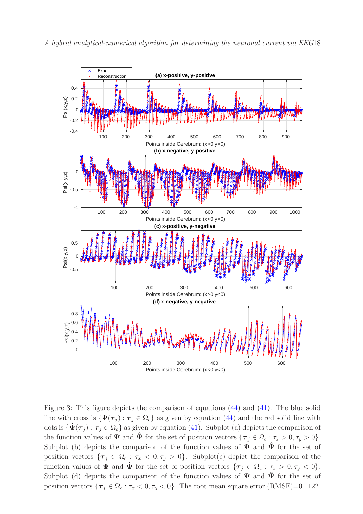<span id="page-17-0"></span>

Figure 3: This figure depicts the comparison of equations [\(44\)](#page-15-1) and [\(41\)](#page-12-3). The blue solid line with cross is  $\{\Psi(\tau_j): \tau_j \in \Omega_c\}$  as given by equation [\(44\)](#page-15-1) and the red solid line with dots is  $\{\hat{\Psi}(\tau_j) : \tau_j \in \Omega_c\}$  as given by equation [\(41\)](#page-12-3). Subplot (a) depicts the comparison of the function values of  $\Psi$  and  $\tilde{\Psi}$  for the set of position vectors  $\{\tau_i \in \Omega_c : \tau_x > 0, \tau_y > 0\}.$ Subplot (b) depicts the comparison of the function values of  $\Psi$  and  $\tilde{\Psi}$  for the set of position vectors  $\{\tau_i \in \Omega_c : \tau_x < 0, \tau_y > 0\}$ . Subplot(c) depict the comparison of the function values of  $\Psi$  and  $\hat{\Psi}$  for the set of position vectors  $\{\tau_j \in \Omega_c : \tau_x > 0, \tau_y < 0\}.$ Subplot (d) depicts the comparison of the function values of  $\Psi$  and  $\tilde{\Psi}$  for the set of position vectors  $\{\tau_j \in \Omega_c : \tau_x < 0, \tau_y < 0\}$ . The root mean square error (RMSE)=0.1122.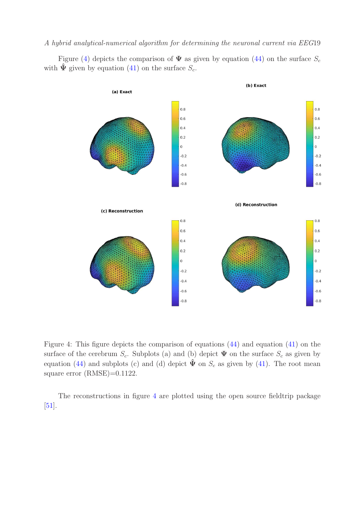<span id="page-18-0"></span>Figure [\(4\)](#page-18-0) depicts the comparison of  $\Psi$  as given by equation [\(44\)](#page-15-1) on the surface  $S_c$ with  $\hat{\Psi}$  given by equation [\(41\)](#page-12-3) on the surface  $S_c$ .



Figure 4: This figure depicts the comparison of equations [\(44\)](#page-15-1) and equation [\(41\)](#page-12-3) on the surface of the cerebrum  $S_c$ . Subplots (a) and (b) depict  $\Psi$  on the surface  $S_c$  as given by equation [\(44\)](#page-15-1) and subplots (c) and (d) depict  $\hat{\Psi}$  on  $S_c$  as given by [\(41\)](#page-12-3). The root mean square error (RMSE)=0.1122.

The reconstructions in figure [4](#page-18-0) are plotted using the open source fieldtrip package [\[51\]](#page-22-10).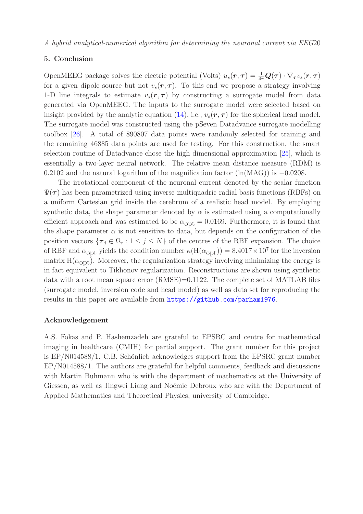# <span id="page-19-0"></span>5. Conclusion

OpenMEEG package solves the electric potential (Volts)  $u_s(\mathbf{r}, \tau) = \frac{1}{4\pi} \mathbf{Q}(\tau) \cdot \nabla_{\tau} v_s(\mathbf{r}, \tau)$ for a given dipole source but not  $v_s(r, \tau)$ . To this end we propose a strategy involving 1-D line integrals to estimate  $v_s(\mathbf{r}, \tau)$  by constructing a surrogate model from data generated via OpenMEEG. The inputs to the surrogate model were selected based on insight provided by the analytic equation [\(14\)](#page-5-0), i.e.,  $v_s(\mathbf{r}, \tau)$  for the spherical head model. The surrogate model was constructed using the pSeven Datadvance surrogate modelling toolbox [\[26\]](#page-21-4). A total of 890807 data points were randomly selected for training and the remaining 46885 data points are used for testing. For this construction, the smart selection routine of Datadvance chose the high dimensional approximation [\[25\]](#page-21-5), which is essentially a two-layer neural network. The relative mean distance measure (RDM) is 0.2102 and the natural logarithm of the magnification factor  $(\ln(MAG))$  is  $-0.0208$ .

The irrotational component of the neuronal current denoted by the scalar function  $\Psi(\tau)$  has been parametrized using inverse multiquadric radial basis functions (RBFs) on a uniform Cartesian grid inside the cerebrum of a realistic head model. By employing synthetic data, the shape parameter denoted by  $\alpha$  is estimated using a computationally efficient approach and was estimated to be  $\alpha_{opt} = 0.0169$ . Furthermore, it is found that the shape parameter  $\alpha$  is not sensitive to data, but depends on the configuration of the position vectors  $\{\tau_j \in \Omega_c : 1 \leq j \leq N\}$  of the centres of the RBF expansion. The choice of RBF and  $\alpha_{\rm opt}$  yields the condition number  $\kappa(H(\alpha_{\rm opt})) = 8.4017 \times 10^7$  for the inversion matrix  $H(\alpha_{opt})$ . Moreover, the regularization strategy involving minimizing the energy is in fact equivalent to Tikhonov regularization. Reconstructions are shown using synthetic data with a root mean square error (RMSE)=0.1122. The complete set of MATLAB files (surrogate model, inversion code and head model) as well as data set for reproducing the results in this paper are available from <https://github.com/parham1976>.

# Acknowledgement

A.S. Fokas and P. Hashemzadeh are grateful to EPSRC and centre for mathematical imaging in healthcare (CMIH) for partial support. The grant number for this project is  $EP/N014588/1$ . C.B. Schönlieb acknowledges support from the EPSRC grant number EP/N014588/1. The authors are grateful for helpful comments, feedback and discussions with Martin Buhmann who is with the department of mathematics at the University of Giessen, as well as Jingwei Liang and Noémie Debroux who are with the Department of Applied Mathematics and Theoretical Physics, university of Cambridge.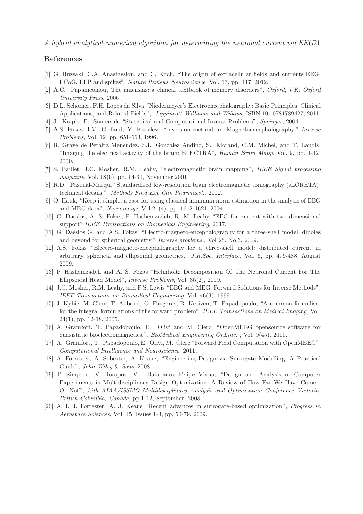#### <span id="page-20-0"></span>References

- <span id="page-20-1"></span>[1] G. Buzsaki, C.A. Anastassiou, and C. Koch, "The origin of extracellular fields and currents EEG, ECoG, LFP and spikes", *Nature Reviews Neuroscience*, Vol. 13, pp. 417, 2012.
- <span id="page-20-2"></span>[2] A.C. Papanicolaou,"The amensias: a clinical textbook of memory disorders", *Oxford, UK: Oxford University Press*, 2006.
- <span id="page-20-3"></span>[3] D.L. Schomer, F.H. Lopes da Silva "Niedermeyer's Electroencephalography: Basic Principles, Clinical Applications, and Related Fields", *Lippincott Williams and Wilkins*, ISBN-10: 0781789427, 2011.
- <span id="page-20-4"></span>[4] J. Kaipio, E. Somersalo "Statistical and Computational Inverse Problems", *Springer*, 2004.
- <span id="page-20-5"></span>[5] A.S. Fokas, I.M. Gelfand, Y. Kurylev, "Inversion method for Magnetoencephalography." *Inverse Problems*, Vol. 12, pp. 651-663, 1996.
- [6] R. Grave de Peralta Menendez, S.L. Gonzalez Andino, S. Morand, C.M. Michel, and T. Landis, "Imaging the electrical activity of the brain: ELECTRA", *Human Brain Mapp.* Vol. 9, pp. 1-12, 2000.
- <span id="page-20-6"></span>[7] S. Baillet, J.C. Mosher, R.M. Leahy, "electromagnetic brain mapping", *IEEE Signal processing magazine*, Vol. 18(6), pp. 14-30, November 2001.
- <span id="page-20-8"></span><span id="page-20-7"></span>[8] R.D. Pascual-Marqui "Standardized low-resolution brain electromagnetic tomography (sLORETA): technical details.", *Methods Find Exp Clin Pharmacol.*, 2002.
- [9] O. Hauk, "Keep it simple: a case for using classical minimum norm estimation in the analysis of EEG and MEG data", *Neuroimage*, Vol 21(4), pp. 1612-1621, 2004.
- <span id="page-20-10"></span><span id="page-20-9"></span>[10] G. Dassios, A. S. Fokas, P. Hashemzadeh, R. M. Leahy "EEG for current with two dimensional support",*IEEE Transactions on Biomedical Engineering*, 2017.
- <span id="page-20-11"></span>[11] G. Dassios G. and A.S. Fokas, "Electro-magneto-encephalography for a three-shell model: dipoles and beyond for spherical geometry." *Inverse problems.*, Vol 25, No.3, 2009.
- [12] A.S. Fokas "Electro-magneto-encephalography for a three-shell model: distributed current in arbitrary, spherical and ellipsoidal geometries." *J.R.Soc. Interface*, Vol. 6, pp. 479-488, August 2009.
- <span id="page-20-13"></span><span id="page-20-12"></span>[13] P. Hashemzadeh and A. S. Fokas "Helmholtz Decomposition Of The Neuronal Current For The Ellipsoidal Head Model", *Inverse Problems*, Vol. 35(2), 2019.
- [14] J.C. Mosher, R.M. Leahy, and P.S. Lewis "EEG and MEG: Forward Solutions for Inverse Methods", *IEEE Transactions on Biomedical Engineering*, Vol. 46(3), 1999.
- <span id="page-20-14"></span>[15] J. Kybic, M. Clerc, T. Abboud, O. Faugeras, R. Keriven, T. Papadopoulo, "A common formalism for the integral formulations of the forward problem", *IEEE Transactions on Medical Imaging*, Vol. 24(1), pp. 12-18, 2005.
- <span id="page-20-15"></span>[16] A. Gramfort, T. Papadopoulo, E. Olivi and M. Clerc, "OpenMEEG opensource software for quasistatic bioelectromagnetics.", *BioMedical Engineering OnLine.* , Vol. 9(45), 2010.
- <span id="page-20-16"></span>[17] A. Gramfort, T. Papadopoulo, E. Olivi, M. Clerc "Forward Field Computation with OpenMEEG", *Computational Intelligence and Neuroscience*, 2011.
- <span id="page-20-18"></span><span id="page-20-17"></span>[18] A. Forrester, A. Sobester, A. Keane, "Engineering Design via Surrogate Modelling: A Practical Guide", *John Wiley* & *Sons*, 2008.
- [19] T. Simpson, V. Toropov, V. Balabanov Felipe Viana, "Design and Analysis of Computer Experiments in Multidisciplinary Design Optimization: A Review of How Far We Have Come - Or Not", *12th AIAA/ISSMO Multidisciplinary Analysis and Optimization Conference Victoria, British Columbia, Canada*, pp.1-12, September, 2008.
- <span id="page-20-19"></span>[20] A. I. J. Forrester, A. J. Keane "Recent advances in surrogate-based optimization", *Progress in Aerospace Sciences*, Vol. 45, Issues 1-3, pp. 50-79, 2009.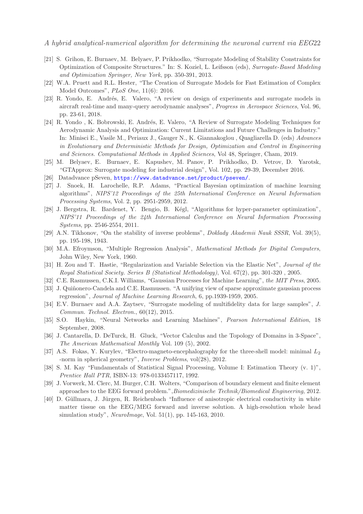- <span id="page-21-1"></span>[21] S. Grihon, E. Burnaev, M. Belyaev, P. Prikhodko, "Surrogate Modeling of Stability Constraints for Optimization of Composite Structures." In: S. Koziel, L. Leifsson (eds), *Surrogate-Based Modeling and Optimization Springer, New York*, pp. 350-391, 2013.
- <span id="page-21-3"></span><span id="page-21-2"></span>[22] W.A. Pruett and R.L. Hester, "The Creation of Surrogate Models for Fast Estimation of Complex Model Outcomes", *PLoS One*, 11(6): 2016.
- [23] R. Yondo, E. Andrés, E. Valero, "A review on design of experiments and surrogate models in aircraft real-time and many-query aerodynamic analyses", *Progress in Aerospace Sciences*, Vol. 96, pp. 23-61, 2018.
- [24] R. Yondo, K. Bobrowski, E. Andrés, E. Valero, "A Review of Surrogate Modeling Techniques for Aerodynamic Analysis and Optimization: Current Limitations and Future Challenges in Industry." In: Minisci E., Vasile M., Periaux J., Gauger N., K. Giannakoglou , Quagliarella D. (eds) *Advances in Evolutionary and Deterministic Methods for Design, Optimization and Control in Engineering and Sciences. Computational Methods in Applied Sciences*, Vol 48, Springer, Cham, 2019.
- <span id="page-21-5"></span><span id="page-21-4"></span>[25] M. Belyaev, E. Burnaev, E. Kapushev, M. Panov, P. Prikhodko, D. Vetrov, D. Yarotsk, "GTApprox: Surrogate modeling for industrial design", Vol. 102, pp. 29-39, December 2016.
- <span id="page-21-6"></span>[26] Datadvance pSeven, <https://www.datadvance.net/product/pseven/>.
- [27] J. Snoek, H. Larochelle, R.P. Adams, "Practical Bayesian optimization of machine learning algorithms", *NIPS'12 Proceedings of the 25th International Conference on Neural Information Processing Systems*, Vol. 2, pp. 2951-2959, 2012.
- <span id="page-21-7"></span>[28] J. Bergstra, R. Bardenet, Y. Bengio, B. Kégl, "Algorithms for hyper-parameter optimization", *NIPS'11 Proceedings of the 24th International Conference on Neural Information Processing Systems*, pp. 2546-2554, 2011.
- <span id="page-21-9"></span><span id="page-21-8"></span>[29] A.N. Tikhonov, "On the stability of inverse problems", *Doklady Akademii Nauk SSSR*, Vol. 39(5), pp. 195-198, 1943.
- <span id="page-21-10"></span>[30] M.A. Efroymson, "Multiple Regression Analysis", *Mathematical Methods for Digital Computers*, John Wiley, New York, 1960.
- [31] H. Zou and T. Hastie, "Regularization and Variable Selection via the Elastic Net", *Journal of the Royal Statistical Society. Series B (Statistical Methodology)*, Vol. 67(2), pp. 301-320 , 2005.
- <span id="page-21-12"></span><span id="page-21-11"></span>[32] C.E. Rasmussen, C.K.I. Williams, "Gaussian Processes for Machine Learning", *the MIT Press*, 2005.
- [33] J. Quiñonero-Candela and C.E. Rasmussen. "A unifying view of sparse approximate gaussian process regression", *Journal of Machine Learning Research*, 6, pp.1939-1959, 2005.
- <span id="page-21-13"></span>[34] E.V. Burnaev and A.A. Zaytsev, "Surrogate modeling of multifidelity data for large samples", *J. Commun. Technol. Electron.*, 60(12), 2015.
- <span id="page-21-14"></span>[35] S.O. Haykin, "Neural Networks and Learning Machines", *Pearson International Edition*, 18 September, 2008.
- <span id="page-21-16"></span>[36] J. Cantarella, D. DeTurck, H. Gluck, "Vector Calculus and the Topology of Domains in 3-Space", *The American Mathematical Monthly* Vol. 109 (5), 2002.
- <span id="page-21-15"></span>[37] A.S. Fokas, Y. Kurylev, "Electro-magneto-encephalography for the three-shell model: minimal  $L_2$ -norm in spherical geometry", *Inverse Problems*, vol(28), 2012.
- <span id="page-21-17"></span>[38] S. M. Kay "Fundamentals of Statistical Signal Processing, Volume I: Estimation Theory (v. 1)", *Prentice Hall PTR*, ISBN-13: 978-0133457117, 1992.
- <span id="page-21-0"></span>[39] J. Vorwerk, M. Clerc, M. Burger, C.H. Wolters, "Comparison of boundary element and finite element approaches to the EEG forward problem.",*Biomedizinische Technik/Biomedical Engineering*, 2012.
- <span id="page-21-18"></span>[40] D. Güllmara, J. Jürgen, R. Reichenbach "Influence of anisotropic electrical conductivity in white matter tissue on the EEG/MEG forward and inverse solution. A high-resolution whole head simulation study", *NeuroImage*, Vol. 51(1), pp. 145-163, 2010.